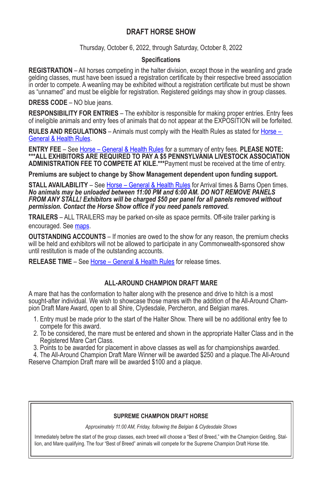# **DRAFT HORSE SHOW**

Thursday, October 6, 2022, through Saturday, October 8, 2022

### **Specifications**

**REGISTRATION** – All horses competing in the halter division, except those in the weanling and grade gelding classes, must have been issued a registration certificate by their respective breed association in order to compete. A weanling may be exhibited without a registration certificate but must be shown as "unnamed" and must be eligible for registration. Registered geldings may show in group classes.

**DRESS CODE** – NO blue jeans.

**RESPONSIBILITY FOR ENTRIES** – The exhibitor is responsible for making proper entries. Entry fees of ineligible animals and entry fees of animals that do not appear at the EXPOSITION will be forfeited.

**RULES AND REGULATIONS** – Animals must comply with the Health Rules as stated for Horse – General & Health Rules.

**ENTRY FEE** – See Horse – General & Health Rules for a summary of entry fees. **PLEASE NOTE: \*\*\*ALL EXHIBITORS ARE REQUIRED TO PAY A \$5 PENNSYLVANIA LIVESTOCK ASSOCIATION ADMINISTRATION FEE TO COMPETE AT KILE.\*\*\***Payment must be received at the time of entry.

**Premiums are subject to change by Show Management dependent upon funding support.** 

**STALL AVAILABILITY** - See Horse - General & Health Rules for Arrival times & Barns Open times. *No animals may be unloaded between 11:00 PM and 6:00 AM. DO NOT REMOVE PANELS FROM ANY STALL! Exhibitors will be charged \$50 per panel for all panels removed without permission. Contact the Horse Show office if you need panels removed.*

**TRAILERS** – ALL TRAILERS may be parked on-site as space permits. Off-site trailer parking is encouraged. See maps.

**OUTSTANDING ACCOUNTS** – If monies are owed to the show for any reason, the premium checks will be held and exhibitors will not be allowed to participate in any Commonwealth-sponsored show until restitution is made of the outstanding accounts.

**RELEASE TIME** – See Horse – General & Health Rules for release times.

## **ALL-AROUND CHAMPION DRAFT MARE**

A mare that has the conformation to halter along with the presence and drive to hitch is a most sought-after individual. We wish to showcase those mares with the addition of the All-Around Cham-<br>pion Draft Mare Award, open to all Shire, Clydesdale, Percheron, and Belgian mares.

- 1. Entry must be made prior to the start of the Halter Show. There will be no additional entry fee to compete for this award.
- 2. To be considered, the mare must be entered and shown in the appropriate Halter Class and in the Registered Mare Cart Class.
- 3. Points to be awarded for placement in above classes as well as for championships awarded.

 4. The All-Around Champion Draft Mare Winner will be awarded \$250 and a plaque.The All-Around Reserve Champion Draft mare will be awarded \$100 and a plaque.

#### **SUPREME CHAMPION DRAFT HORSE**

*Approximately 11:00 AM, Friday, following the Belgian & Clydesdale Shows*

Immediately before the start of the group classes, each breed will choose a "Best of Breed," with the Champion Gelding, Stallion, and Mare qualifying. The four "Best of Breed" animals will compete for the Supreme Champion Draft Horse title.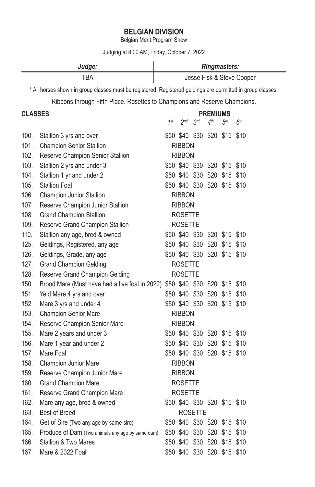# **BELGIAN DIVISION**

Belgian Merit Program Show

Judging at 8:00 AM, Friday, October 7, 2022

| Judge: | <b>Ringmasters:</b>       |
|--------|---------------------------|
| TBA    | Jesse Fisk & Steve Cooper |

\* All horses shown in group classes must be registered. Registered geldings are permitted in group classes.

Ribbons through Fifth Place. Rosettes to Champions and Reserve Champions.

# **CLASSES PREMIUMS**

| しレハソレレ |                                                  | 1st            | 2 <sub>nd</sub> | 3 <sup>rd</sup>               | 4 <sup>th</sup> | 5 <sup>th</sup> | 6 <sup>th</sup> |
|--------|--------------------------------------------------|----------------|-----------------|-------------------------------|-----------------|-----------------|-----------------|
| 100.   | Stallion 3 yrs and over                          |                |                 | \$50 \$40 \$30                |                 | \$20 \$15       | \$10            |
| 101.   | <b>Champion Senior Stallion</b>                  |                | <b>RIBBON</b>   |                               |                 |                 |                 |
| 102.   | Reserve Champion Senior Stallion                 |                | <b>RIBBON</b>   |                               |                 |                 |                 |
| 103.   | Stallion 2 yrs and under 3                       |                |                 | \$50 \$40 \$30                |                 | \$20 \$15 \$10  |                 |
| 104.   | Stallion 1 yr and under 2                        |                |                 | \$50 \$40 \$30                |                 | \$20 \$15       | \$10            |
| 105.   | <b>Stallion Foal</b>                             |                |                 | \$50 \$40 \$30                |                 | \$20 \$15 \$10  |                 |
| 106.   | Champion Junior Stallion                         |                | <b>RIBBON</b>   |                               |                 |                 |                 |
| 107.   | Reserve Champion Junior Stallion                 |                | <b>RIBBON</b>   |                               |                 |                 |                 |
| 108.   | <b>Grand Champion Stallion</b>                   |                | <b>ROSETTE</b>  |                               |                 |                 |                 |
| 109.   | Reserve Grand Champion Stallion                  |                | <b>ROSETTE</b>  |                               |                 |                 |                 |
| 110.   | Stallion any age, bred & owned                   |                |                 | \$50 \$40 \$30                |                 | \$20 \$15 \$10  |                 |
| 125.   | Geldings, Registered, any age                    |                |                 | \$50 \$40 \$30                |                 | \$20 \$15       | \$10            |
| 126.   | Geldings, Grade, any age                         |                |                 | \$50 \$40 \$30                |                 | \$20 \$15       | \$10            |
| 127.   | <b>Grand Champion Gelding</b>                    |                | <b>ROSETTE</b>  |                               |                 |                 |                 |
| 128.   | Reserve Grand Champion Gelding                   | <b>ROSETTE</b> |                 |                               |                 |                 |                 |
| 150.   | Brood Mare (Must have had a live foal in 2022)   |                |                 | \$50 \$40 \$30 \$20 \$15 \$10 |                 |                 |                 |
| 151.   | Yeld Mare 4 yrs and over                         |                |                 | \$50 \$40 \$30                |                 | \$20 \$15       | \$10            |
| 152.   | Mare 3 yrs and under 4                           |                |                 | \$50 \$40 \$30                |                 | \$20 \$15 \$10  |                 |
| 153.   | <b>Champion Senior Mare</b>                      |                | <b>RIBBON</b>   |                               |                 |                 |                 |
| 154.   | Reserve Champion Senior Mare                     |                | <b>RIBBON</b>   |                               |                 |                 |                 |
| 155.   | Mare 2 years and under 3                         |                |                 | \$50 \$40 \$30 \$20 \$15 \$10 |                 |                 |                 |
| 156.   | Mare 1 year and under 2                          |                |                 | \$50 \$40 \$30                |                 | \$20 \$15 \$10  |                 |
| 157.   | Mare Foal                                        |                |                 | \$50 \$40 \$30                |                 | \$20 \$15       | \$10            |
| 158.   | Champion Junior Mare                             |                | <b>RIBBON</b>   |                               |                 |                 |                 |
| 159.   | Reserve Champion Junior Mare                     |                | <b>RIBBON</b>   |                               |                 |                 |                 |
| 160.   | Grand Champion Mare                              |                | <b>ROSETTE</b>  |                               |                 |                 |                 |
| 161.   | Reserve Grand Champion Mare                      |                | <b>ROSETTE</b>  |                               |                 |                 |                 |
| 162.   | Mare any age, bred & owned                       |                |                 | \$50 \$40 \$30 \$20 \$15 \$10 |                 |                 |                 |
| 163.   | <b>Best of Breed</b>                             |                |                 | <b>ROSETTE</b>                |                 |                 |                 |
| 164.   | Get of Sire (Two any age by same sire)           |                |                 | \$50 \$40 \$30                |                 | \$20 \$15 \$10  |                 |
| 165.   | Produce of Dam (Two animals any age by same dam) |                |                 | \$50 \$40 \$30                |                 | \$20 \$15       | \$10            |
| 166.   | Stallion & Two Mares                             |                | \$50 \$40       | \$30                          |                 | \$20 \$15       | \$10            |
| 167.   | Mare & 2022 Foal                                 |                | \$50 \$40 \$30  |                               | \$20            | \$15            | \$10            |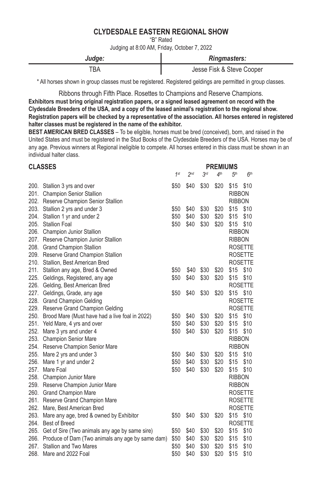# **CLYDESDALE EASTERN REGIONAL SHOW**

"B" Rated

Judging at 8:00 AM, Friday, October 7, 2022

| Judge: | <b>Ringmasters:</b>       |
|--------|---------------------------|
| TRA    | Jesse Fisk & Steve Cooper |

\* All horses shown in group classes must be registered. Registered geldings are permitted in group classes.

Ribbons through Fifth Place. Rosettes to Champions and Reserve Champions. **Exhibitors must bring original registration papers, or a signed leased agreement on record with the Clydesdale Breeders of the USA, and a copy of the leased animal's registration to the regional show. Registration papers will be checked by a representative of the association. All horses entered in registered halter classes must be registered in the name of the exhibitor.**

**BEST AMERICAN BRED CLASSES** – To be eligible, horses must be bred (conceived), born, and raised in the United States and must be registered in the Stud Books of the Clydesdale Breeders of the USA. Horses may be of any age. Previous winners at Regional ineligible to compete. All horses entered in this class must be shown in an individual halter class.

## **CLASSES PREMIUMS**

|      |                                                       | 1 <sup>st</sup> | 2 <sub>nd</sub> | 3 <sup>rd</sup> | 4 <sup>th</sup> | 5 <sup>th</sup> | 6 <sup>th</sup> |
|------|-------------------------------------------------------|-----------------|-----------------|-----------------|-----------------|-----------------|-----------------|
|      | 200. Stallion 3 yrs and over                          | \$50            | \$40            | \$30            | \$20            | \$15            | \$10            |
|      | 201. Champion Senior Stallion                         |                 |                 |                 |                 | <b>RIBBON</b>   |                 |
|      | 202. Reserve Champion Senior Stallion                 |                 |                 |                 |                 | <b>RIBBON</b>   |                 |
|      | 203. Stallion 2 yrs and under 3                       | \$50            | \$40            | \$30            | \$20            | \$15            | \$10            |
|      | 204. Stallion 1 yr and under 2                        | \$50            | \$40            | \$30            | \$20            | \$15            | \$10            |
|      | 205. Stallion Foal                                    | \$50            | \$40            | \$30            | \$20            | \$15            | \$10            |
|      | 206. Champion Junior Stallion                         |                 |                 |                 |                 | <b>RIBBON</b>   |                 |
|      | 207. Reserve Champion Junior Stallion                 |                 |                 |                 |                 | <b>RIBBON</b>   |                 |
|      | 208. Grand Champion Stallion                          |                 |                 |                 |                 |                 | <b>ROSETTE</b>  |
|      | 209. Reserve Grand Champion Stallion                  |                 |                 |                 |                 |                 | <b>ROSETTE</b>  |
|      | 210. Stallion, Best American Bred                     |                 |                 |                 |                 |                 | <b>ROSETTE</b>  |
|      | 211. Stallion any age, Bred & Owned                   | \$50            | \$40            | \$30            | \$20            | \$15            | \$10            |
|      | 225. Geldings, Registered, any age                    | \$50            | \$40            | \$30            | \$20            | \$15            | \$10            |
|      | 226. Gelding, Best American Bred                      |                 |                 |                 |                 |                 | <b>ROSETTE</b>  |
|      | 227. Geldings, Grade, any age                         | \$50            | \$40            | \$30            | \$20            | \$15            | \$10            |
|      | 228. Grand Champion Gelding                           |                 |                 |                 |                 |                 | <b>ROSETTE</b>  |
|      | 229. Reserve Grand Champion Gelding                   |                 |                 |                 |                 |                 | <b>ROSETTE</b>  |
|      | 250. Brood Mare (Must have had a live foal in 2022)   | \$50            | \$40            | \$30            | \$20            | \$15            | \$10            |
|      | 251. Yeld Mare, 4 yrs and over                        | \$50            | \$40            | \$30            | \$20            | \$15            | \$10            |
|      | 252. Mare 3 yrs and under 4                           | \$50            | \$40            | \$30            | \$20            | \$15            | \$10            |
|      | 253. Champion Senior Mare                             |                 |                 |                 |                 | <b>RIBBON</b>   |                 |
|      | 254. Reserve Champion Senior Mare                     |                 |                 |                 |                 | <b>RIBBON</b>   |                 |
|      | 255. Mare 2 yrs and under 3                           | \$50            | \$40            | \$30            | \$20            | \$15            | \$10            |
|      | 256. Mare 1 yr and under 2                            | \$50            | \$40            | \$30            | \$20            | \$15            | \$10            |
|      | 257. Mare Foal                                        | \$50            | \$40            | \$30            | \$20            | \$15            | \$10            |
|      | 258. Champion Junior Mare                             |                 |                 |                 |                 | <b>RIBBON</b>   |                 |
|      | 259. Reserve Champion Junior Mare                     |                 |                 |                 |                 | <b>RIBBON</b>   |                 |
|      | 260. Grand Champion Mare                              |                 |                 |                 |                 |                 | <b>ROSETTE</b>  |
|      | 261. Reserve Grand Champion Mare                      |                 |                 |                 |                 |                 | <b>ROSETTE</b>  |
|      | 262. Mare, Best American Bred                         |                 |                 |                 |                 |                 | <b>ROSETTE</b>  |
|      | 263. Mare any age, bred & owned by Exhibitor          | \$50            | \$40            | \$30            | \$20            | \$15            | \$10            |
|      | 264. Best of Breed                                    |                 |                 |                 |                 |                 | <b>ROSETTE</b>  |
|      | 265. Get of Sire (Two animals any age by same sire)   | \$50            | \$40            | \$30            | \$20            | \$15            | \$10            |
|      | 266. Produce of Dam (Two animals any age by same dam) | \$50            | \$40            | \$30            | \$20            | \$15            | \$10            |
| 267. | Stallion and Two Mares                                | \$50            | \$40            | \$30            | \$20            | \$15            | \$10            |
| 268. | Mare and 2022 Foal                                    | \$50            | \$40            | \$30            | \$20            | \$15            | \$10            |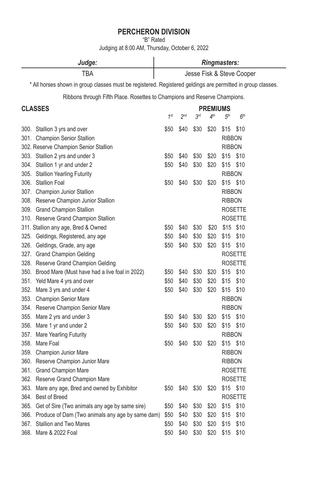# **PERCHERON DIVISION**

"B" Rated

Judging at 8:00 AM, Thursday, October 6, 2022

| Judge:                                                                                                      | <b>Ringmasters:</b>       |                 |      |                 |                 |                 |  |
|-------------------------------------------------------------------------------------------------------------|---------------------------|-----------------|------|-----------------|-----------------|-----------------|--|
| TBA                                                                                                         | Jesse Fisk & Steve Cooper |                 |      |                 |                 |                 |  |
| * All horses shown in group classes must be registered. Registered geldings are permitted in group classes. |                           |                 |      |                 |                 |                 |  |
| Ribbons through Fifth Place. Rosettes to Champions and Reserve Champions.                                   |                           |                 |      |                 |                 |                 |  |
| <b>CLASSES</b>                                                                                              |                           |                 |      | PREMIUMS        |                 |                 |  |
|                                                                                                             | 1st                       | 2 <sub>nd</sub> | 3rd  | 4 <sup>th</sup> | 5 <sup>th</sup> | 6 <sup>th</sup> |  |
| 300. Stallion 3 yrs and over                                                                                | \$50                      | \$40            | \$30 | \$20            | \$15            | \$10            |  |
| 301. Champion Senior Stallion                                                                               |                           |                 |      |                 | <b>RIBBON</b>   |                 |  |
| 302. Reserve Champion Senior Stallion                                                                       |                           |                 |      |                 | <b>RIBBON</b>   |                 |  |
| 303. Stallion 2 yrs and under 3                                                                             | \$50                      | \$40            | \$30 | \$20            | \$15            | \$10            |  |
| 304. Stallion 1 yr and under 2                                                                              | \$50                      | \$40            | \$30 | \$20            | \$15            | \$10            |  |
| 305. Stallion Yearling Futurity                                                                             |                           |                 |      |                 | <b>RIBBON</b>   |                 |  |
| 306. Stallion Foal                                                                                          | \$50                      | \$40            | \$30 | \$20            | $$15$ \$10      |                 |  |
| 307. Champion Junior Stallion                                                                               |                           |                 |      |                 | <b>RIBBON</b>   |                 |  |
| 308. Reserve Champion Junior Stallion                                                                       |                           |                 |      |                 | <b>RIBBON</b>   |                 |  |
| 309. Grand Champion Stallion                                                                                |                           |                 |      |                 |                 | <b>ROSETTE</b>  |  |
| 310. Reserve Grand Champion Stallion                                                                        |                           |                 |      |                 |                 | <b>ROSETTE</b>  |  |
| 311. Stallion any age, Bred & Owned                                                                         | \$50                      | \$40            | \$30 | \$20            |                 | \$15 \$10       |  |
| 325. Geldings, Registered, any age                                                                          | \$50                      | \$40            | \$30 | \$20            | \$15            | \$10            |  |
| 326. Geldings, Grade, any age                                                                               | \$50                      | \$40            | \$30 | \$20            | \$15            | \$10            |  |
| 327. Grand Champion Gelding                                                                                 |                           |                 |      |                 |                 | <b>ROSETTE</b>  |  |
| 328. Reserve Grand Champion Gelding                                                                         |                           |                 |      |                 |                 | ROSETTE         |  |
| 350. Brood Mare (Must have had a live foal in 2022)                                                         | \$50                      | \$40            | \$30 | \$20            | \$15            | \$10            |  |
| 351. Yeld Mare 4 yrs and over                                                                               | \$50                      | \$40            | \$30 | \$20            | \$15            | \$10            |  |
| 352. Mare 3 yrs and under 4                                                                                 | \$50                      | \$40            | \$30 | \$20            | \$15            | \$10            |  |
| 353. Champion Senior Mare                                                                                   |                           |                 |      |                 | <b>RIBBON</b>   |                 |  |
| 354. Reserve Champion Senior Mare                                                                           |                           |                 |      |                 | <b>RIBBON</b>   |                 |  |
| 355. Mare 2 yrs and under 3                                                                                 | \$50                      | \$40            | \$30 | \$20            | \$15            | \$10            |  |
| 356. Mare 1 yr and under 2                                                                                  | \$50                      | \$40            | \$30 | \$20            | \$15            | \$10            |  |
| 357. Mare Yearling Futurity                                                                                 |                           |                 |      |                 | <b>RIBBON</b>   |                 |  |
| 358. Mare Foal                                                                                              | \$50                      | \$40            | \$30 | \$20            | \$15            | \$10            |  |
| 359. Champion Junior Mare                                                                                   |                           |                 |      |                 | <b>RIBBON</b>   |                 |  |
| 360. Reserve Champion Junior Mare                                                                           |                           |                 |      |                 | <b>RIBBON</b>   |                 |  |
| 361. Grand Champion Mare                                                                                    |                           |                 |      |                 |                 | ROSETTE         |  |
| 362. Reserve Grand Champion Mare                                                                            |                           |                 |      |                 |                 | ROSETTE         |  |
| 363. Mare any age, Bred and owned by Exhibitor                                                              | \$50                      | \$40            | \$30 | \$20            |                 | \$15 \$10       |  |
| 364. Best of Breed                                                                                          |                           |                 |      |                 |                 | <b>ROSETTE</b>  |  |
| 365. Get of Sire (Two animals any age by same sire)                                                         | \$50                      | \$40            | \$30 | \$20            | \$15            | \$10            |  |
| 366. Produce of Dam (Two animals any age by same dam)                                                       | \$50                      | \$40            | \$30 | \$20            | \$15            | \$10            |  |
| <b>Stallion and Two Mares</b><br>367.                                                                       | \$50                      | \$40            | \$30 | \$20            | \$15            | \$10            |  |
| 368.<br>Mare & 2022 Foal                                                                                    | \$50                      | \$40            | \$30 | \$20            | \$15            | \$10            |  |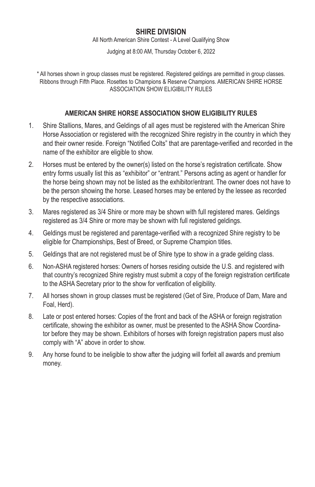# **SHIRE DIVISION**

All North American Shire Contest - A Level Qualifying Show

Judging at 8:00 AM, Thursday October 6, 2022

\* All horses shown in group classes must be registered. Registered geldings are permitted in group classes. Ribbons through Fifth Place. Rosettes to Champions & Reserve Champions. AMERICAN SHIRE HORSE ASSOCIATION SHOW ELIGIBILITY RULES

## **AMERICAN SHIRE HORSE ASSOCIATION SHOW ELIGIBILITY RULES**

- 1. Shire Stallions, Mares, and Geldings of all ages must be registered with the American Shire Horse Association or registered with the recognized Shire registry in the country in which they and their owner reside. Foreign "Notified Colts" that are parentage-verified and recorded in the name of the exhibitor are eligible to show.
- 2. Horses must be entered by the owner(s) listed on the horse's registration certificate. Show entry forms usually list this as "exhibitor" or "entrant." Persons acting as agent or handler for the horse being shown may not be listed as the exhibitor/entrant. The owner does not have to be the person showing the horse. Leased horses may be entered by the lessee as recorded by the respective associations.
- 3. Mares registered as 3/4 Shire or more may be shown with full registered mares. Geldings registered as 3/4 Shire or more may be shown with full registered geldings.
- 4. Geldings must be registered and parentage-verified with a recognized Shire registry to be eligible for Championships, Best of Breed, or Supreme Champion titles.
- 5. Geldings that are not registered must be of Shire type to show in a grade gelding class.
- 6. Non-ASHA registered horses: Owners of horses residing outside the U.S. and registered with that country's recognized Shire registry must submit a copy of the foreign registration certificate to the ASHA Secretary prior to the show for verification of eligibility.
- 7. All horses shown in group classes must be registered (Get of Sire, Produce of Dam, Mare and Foal, Herd).
- 8. Late or post entered horses: Copies of the front and back of the ASHA or foreign registration certificate, showing the exhibitor as owner, must be presented to the ASHA Show Coordinator before they may be shown. Exhibitors of horses with foreign registration papers must also comply with "A" above in order to show.
- 9. Any horse found to be ineligible to show after the judging will forfeit all awards and premium money.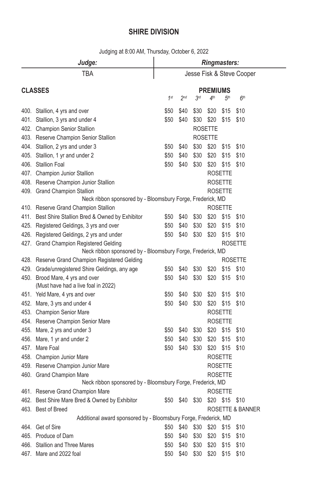# **SHIRE DIVISION**

| Judge:                                                                 | <b>Ringmasters:</b>       |                 |                 |                 |                 |                  |  |  |
|------------------------------------------------------------------------|---------------------------|-----------------|-----------------|-----------------|-----------------|------------------|--|--|
| TBA                                                                    | Jesse Fisk & Steve Cooper |                 |                 |                 |                 |                  |  |  |
| <b>CLASSES</b>                                                         |                           |                 |                 | <b>PREMIUMS</b> |                 |                  |  |  |
|                                                                        | 1 <sup>st</sup>           | 2 <sub>nd</sub> | 3 <sup>rd</sup> | 4 <sup>th</sup> | 5 <sup>th</sup> | 6 <sup>th</sup>  |  |  |
| 400. Stallion, 4 yrs and over                                          | \$50                      | \$40            | \$30            | \$20            | \$15            | \$10             |  |  |
| 401. Stallion, 3 yrs and under 4                                       | \$50                      | \$40            | \$30            | \$20            | \$15            | \$10             |  |  |
| 402. Champion Senior Stallion                                          |                           |                 |                 | <b>ROSETTE</b>  |                 |                  |  |  |
| 403. Reserve Champion Senior Stallion                                  |                           |                 |                 | <b>ROSETTE</b>  |                 |                  |  |  |
| 404. Stallion, 2 yrs and under 3                                       | \$50                      | \$40            | \$30            | \$20            | \$15            | \$10             |  |  |
| 405. Stallion, 1 yr and under 2                                        | \$50                      | \$40            | \$30            | \$20            | \$15            | \$10             |  |  |
| 406. Stallion Foal                                                     | \$50                      | \$40            | \$30            | \$20            | \$15            | \$10             |  |  |
| 407. Champion Junior Stallion                                          |                           |                 |                 |                 | <b>ROSETTE</b>  |                  |  |  |
| 408. Reserve Champion Junior Stallion                                  |                           |                 |                 |                 | <b>ROSETTE</b>  |                  |  |  |
| 409. Grand Champion Stallion                                           |                           |                 |                 |                 | <b>ROSETTE</b>  |                  |  |  |
| Neck ribbon sponsored by - Bloomsbury Forge, Frederick, MD             |                           |                 |                 |                 |                 |                  |  |  |
| 410. Reserve Grand Champion Stallion                                   |                           |                 |                 |                 | <b>ROSETTE</b>  |                  |  |  |
| 411. Best Shire Stallion Bred & Owned by Exhibitor                     | \$50                      | \$40            | \$30            | \$20            | \$15            | \$10             |  |  |
| 425. Registered Geldings, 3 yrs and over                               | \$50                      | \$40            | \$30            | \$20            | \$15            | \$10             |  |  |
| 426. Registered Geldings, 2 yrs and under                              | \$50                      | \$40            | \$30            | \$20            | \$15            | \$10             |  |  |
| 427. Grand Champion Registered Gelding                                 |                           |                 |                 |                 |                 | <b>ROSETTE</b>   |  |  |
| Neck ribbon sponsored by - Bloomsbury Forge, Frederick, MD             |                           |                 |                 |                 |                 |                  |  |  |
| 428. Reserve Grand Champion Registered Gelding                         |                           |                 |                 |                 |                 | <b>ROSETTE</b>   |  |  |
| 429. Grade/unregistered Shire Geldings, any age                        | \$50                      | \$40            | \$30            | \$20            | \$15 \$10       |                  |  |  |
| 450. Brood Mare, 4 yrs and over<br>(Must have had a live foal in 2022) | \$50                      | \$40            | \$30            | \$20            | \$15            | \$10             |  |  |
| 451. Yeld Mare, 4 yrs and over                                         | \$50                      | \$40            | \$30            | \$20            | \$15            | \$10             |  |  |
| 452. Mare, 3 yrs and under 4                                           | \$50                      | \$40            | \$30            | \$20            | \$15            | \$10             |  |  |
| 453. Champion Senior Mare                                              |                           |                 |                 |                 | <b>ROSETTE</b>  |                  |  |  |
| 454. Reserve Champion Senior Mare                                      |                           |                 |                 |                 | <b>ROSETTE</b>  |                  |  |  |
| 455. Mare, 2 yrs and under 3                                           | \$50                      | \$40            | \$30            |                 | \$20 \$15       | \$10             |  |  |
| 456. Mare, 1 yr and under 2                                            | \$50                      | \$40            | \$30            | \$20            | \$15            | \$10             |  |  |
| 457. Mare Foal                                                         | \$50                      | \$40            | \$30            | \$20            | \$15            | \$10             |  |  |
| 458. Champion Junior Mare                                              |                           |                 |                 |                 | <b>ROSETTE</b>  |                  |  |  |
| 459. Reserve Champion Junior Mare                                      |                           |                 |                 |                 | <b>ROSETTE</b>  |                  |  |  |
| 460. Grand Champion Mare                                               |                           |                 |                 |                 | <b>ROSETTE</b>  |                  |  |  |
| Neck ribbon sponsored by - Bloomsbury Forge, Frederick, MD             |                           |                 |                 |                 |                 |                  |  |  |
| 461. Reserve Grand Champion Mare                                       |                           |                 |                 |                 | <b>ROSETTE</b>  |                  |  |  |
| 462. Best Shire Mare Bred & Owned by Exhibitor                         | \$50                      | \$40            | \$30            |                 | \$20 \$15       | \$10             |  |  |
| 463. Best of Breed                                                     |                           |                 |                 |                 |                 | ROSETTE & BANNER |  |  |
| Additional award sponsored by - Bloomsbury Forge, Frederick, MD        |                           |                 |                 |                 |                 |                  |  |  |
| 464. Get of Sire                                                       | \$50                      | \$40            | \$30            | \$20            | \$15            | \$10             |  |  |
| 465. Produce of Dam                                                    | \$50                      | \$40            | \$30            | \$20            | \$15            | \$10             |  |  |
| 466. Stallion and Three Mares                                          | \$50                      | \$40            | \$30            | \$20            | \$15            | \$10             |  |  |
| 467. Mare and 2022 foal                                                | \$50                      | \$40            | \$30            | \$20            | \$15            | \$10             |  |  |

Judging at 8:00 AM, Thursday, October 6, 2022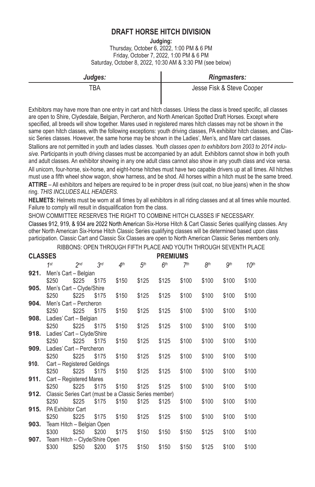# **DRAFT HORSE HITCH DIVISION**

**Judging:**

Thursday, October 6, 2022, 1:00 PM & 6 PM Friday, October 7, 2022, 1:00 PM & 6 PM Saturday, October 8, 2022, 10:30 AM & 3:30 PM (see below)

| Judges: | <b>Ringmasters:</b>       |
|---------|---------------------------|
| TBA     | Jesse Fisk & Steve Cooper |
|         |                           |

Exhibitors may have more than one entry in cart and hitch classes. Unless the class is breed specific, all classes are open to Shire, Clydesdale, Belgian, Percheron, and North American Spotted Draft Horses. Except where specified, all breeds will show together. Mares used in registered mares hitch classes may not be shown in the same open hitch classes, with the following exceptions: youth driving classes, PA exhibitor hitch classes, and Classic Series classes. However, the same horse may be shown in the Ladies', Men's, and Mare cart classes.

Stallions are not permitted in youth and ladies classes. *Youth classes open to exhibitors born 2003 to 2014 inclusive.* Participants in youth driving classes must be accompanied by an adult. Exhibitors cannot show in both youth and adult classes. An exhibitor showing in any one adult class cannot also show in any youth class and vice versa. All unicorn, four-horse, six-horse, and eight-horse hitches must have two capable drivers up at all times. All hitches must use a fifth wheel show wagon, show harness, and be shod. All horses within a hitch must be the same breed. **ATTIRE** – All exhibitors and helpers are required to be in proper dress (suit coat, no blue jeans) when in the show ring. *THIS INCLUDES ALL HEADERS.*

**HELMETS:** Helmets must be worn at all times by all exhibitors in all riding classes and at all times while mounted. Failure to comply will result in disqualification from the class.

SHOW COMMITTEE RESERVES THE RIGHT TO COMBINE HITCH CLASSES IF NECESSARY.

Classes 912, 919, & 934 are 2022 North American Six-Horse Hitch & Cart Classic Series qualifying classes. Any other North American Six-Horse Hitch Classic Series qualifying classes will be determined based upon class participation. Classic Cart and Classic Six Classes are open to North American Classic Series members only.

RIBBONS: OPEN THROUGH FIFTH PLACE AND YOUTH THROUGH SEVENTH PLACE

| <b>CLASSES</b> |                                                       |                 | <b>PREMIUMS</b> |                 |                 |                 |                 |                 |       |                  |
|----------------|-------------------------------------------------------|-----------------|-----------------|-----------------|-----------------|-----------------|-----------------|-----------------|-------|------------------|
|                | 1st                                                   | 2 <sub>nd</sub> | 3 <sup>rd</sup> | 4 <sup>th</sup> | 5 <sup>th</sup> | 6 <sup>th</sup> | 7 <sup>th</sup> | 8 <sup>th</sup> | gth   | 10 <sup>th</sup> |
| 921.           | Men's Cart - Belgian                                  |                 |                 |                 |                 |                 |                 |                 |       |                  |
|                | \$250                                                 | \$225           | \$175           | \$150           | \$125           | \$125           | \$100           | \$100           | \$100 | \$100            |
| 905.           | Men's Cart - Clyde/Shire                              |                 |                 |                 |                 |                 |                 |                 |       |                  |
|                | \$250                                                 | \$225           | \$175           | \$150           | \$125           | \$125           | \$100           | \$100           | \$100 | \$100            |
| 904.           | Men's Cart - Percheron                                |                 |                 |                 |                 |                 |                 |                 |       |                  |
|                | \$250                                                 | \$225           | \$175           | \$150           | \$125           | \$125           | \$100           | \$100           | \$100 | \$100            |
| 908.           | Ladies' Cart - Belgian                                |                 |                 |                 |                 |                 |                 |                 |       |                  |
|                | \$250                                                 | \$225           | \$175           | \$150           | \$125           | \$125           | \$100           | \$100           | \$100 | \$100            |
| 918.           | Ladies' Cart - Clyde/Shire                            |                 |                 |                 |                 |                 |                 |                 |       |                  |
|                | \$250                                                 | \$225           | \$175           | \$150           | \$125           | \$125           | \$100           | \$100           | \$100 | \$100            |
| 909.           | Ladies' Cart - Percheron                              |                 |                 |                 |                 |                 |                 |                 |       |                  |
|                | \$250                                                 | \$225           | \$175           | \$150           | \$125           | \$125           | \$100           | \$100           | \$100 | \$100            |
| 910.           | Cart - Registered Geldings                            |                 |                 |                 |                 |                 |                 |                 |       |                  |
|                | \$250                                                 | \$225           | \$175           | \$150           | \$125           | \$125           | \$100           | \$100           | \$100 | \$100            |
| 911.           | Cart - Registered Mares                               |                 |                 |                 |                 |                 |                 |                 |       |                  |
|                | \$250                                                 | \$225           | \$175           | \$150           | \$125           | \$125           | \$100           | \$100           | \$100 | \$100            |
| 912.           | Classic Series Cart (must be a Classic Series member) |                 |                 |                 |                 |                 |                 |                 |       |                  |
|                | \$250                                                 | \$225           | \$175           | \$150           | \$125           | \$125           | \$100           | \$100           | \$100 | \$100            |
| 915.           | <b>PA Exhibitor Cart</b>                              |                 |                 |                 |                 |                 |                 |                 |       |                  |
|                | \$250                                                 | \$225           | \$175           | \$150           | \$125           | \$125           | \$100           | \$100           | \$100 | \$100            |
| 903.           | Team Hitch - Belgian Open                             |                 |                 |                 |                 |                 |                 |                 |       |                  |
|                | \$300                                                 | \$250           | \$200           | \$175           | \$150           | \$150           | \$150           | \$125           | \$100 | \$100            |
| 907.           | Team Hitch - Clyde/Shire Open                         |                 |                 |                 |                 |                 |                 |                 |       |                  |
|                | \$300                                                 | \$250           | \$200           | \$175           | \$150           | \$150           | \$150           | \$125           | \$100 | \$100            |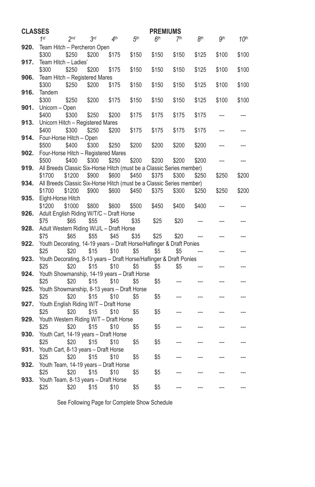| <b>CLASSES</b> |                                                                              |                 |                 |                 |                 | <b>PREMIUMS</b> |                 |                 |            |                  |
|----------------|------------------------------------------------------------------------------|-----------------|-----------------|-----------------|-----------------|-----------------|-----------------|-----------------|------------|------------------|
|                | 1st                                                                          | 2 <sub>nd</sub> | 3 <sup>rd</sup> | 4 <sup>th</sup> | 5 <sup>th</sup> | 6 <sup>th</sup> | 7 <sup>th</sup> | 8 <sup>th</sup> | <b>gth</b> | 10 <sup>th</sup> |
| 920.           | Team Hitch - Percheron Open                                                  |                 |                 |                 |                 |                 |                 |                 |            |                  |
|                | \$300                                                                        | \$250           | \$200           | \$175           | \$150           | \$150           | \$150           | \$125           | \$100      | \$100            |
| 917.           | Team Hitch - Ladies'                                                         |                 |                 |                 |                 |                 |                 |                 |            |                  |
|                | \$300                                                                        | \$250           | \$200           | \$175           | \$150           | \$150           | \$150           | \$125           | \$100      | \$100            |
| 906.           | Team Hitch - Registered Mares                                                |                 |                 |                 |                 |                 |                 |                 |            |                  |
|                | \$300                                                                        | \$250           | \$200           | \$175           | \$150           | \$150           | \$150           | \$125           | \$100      | \$100            |
| 916.           | Tandem                                                                       |                 |                 |                 |                 |                 |                 |                 |            |                  |
|                | \$300                                                                        | \$250           | \$200           | \$175           | \$150           | \$150           | \$150           | \$125           | \$100      | \$100            |
| 901.           | Unicorn - Open                                                               |                 |                 |                 |                 |                 |                 |                 |            |                  |
| 913.           | \$400                                                                        | \$300           | \$250           | \$200           | \$175           | \$175           | \$175           | \$175           |            |                  |
|                | Unicorn Hitch - Registered Mares<br>\$400                                    | \$300           | \$250           | \$200           | \$175           | \$175           | \$175           | \$175           |            |                  |
| 914.           | Four-Horse Hitch - Open                                                      |                 |                 |                 |                 |                 |                 |                 |            |                  |
|                | \$500                                                                        | \$400           | \$300           | \$250           | \$200           | \$200           | \$200           | \$200           |            |                  |
| 902.           | Four-Horse Hitch - Registered Mares                                          |                 |                 |                 |                 |                 |                 |                 |            |                  |
|                | \$500                                                                        | \$400           | \$300           | \$250           | \$200           | \$200           | \$200           | \$200           |            |                  |
| 919.           | All Breeds Classic Six-Horse Hitch (must be a Classic Series member)         |                 |                 |                 |                 |                 |                 |                 |            |                  |
|                | \$1700                                                                       | \$1200          | \$900           | \$600           | \$450           | \$375           | \$300           | \$250           | \$250      | \$200            |
| 934.           | All Breeds Classic Six-Horse Hitch (must be a Classic Series member)         |                 |                 |                 |                 |                 |                 |                 |            |                  |
|                | \$1700                                                                       | \$1200          | \$900           | \$600           | \$450           | \$375           | \$300           | \$250           | \$250      | \$200            |
| 935.           | Eight-Horse Hitch                                                            |                 |                 |                 |                 |                 |                 |                 |            |                  |
|                | \$1200                                                                       | \$1000          | \$800           | \$600           | \$500           | \$450           | \$400           | \$400           |            |                  |
| 926.           | Adult English Riding W/T/C - Draft Horse                                     |                 |                 |                 |                 |                 |                 |                 |            |                  |
|                | \$75                                                                         | \$65            | \$55            | \$45            | \$35            | \$25            | \$20            |                 |            |                  |
| 928.           | Adult Western Riding W/J/L - Draft Horse                                     |                 |                 |                 |                 |                 |                 |                 |            |                  |
|                | \$75                                                                         | \$65            | \$55            | \$45            | \$35            | \$25            | \$20            |                 |            |                  |
| 922.           | Youth Decorating, 14-19 years - Draft Horse/Haflinger & Draft Ponies<br>\$25 | \$20            | \$15            |                 |                 |                 |                 |                 |            |                  |
| 923.           | Youth Decorating, 8-13 years - Draft Horse/Haflinger & Draft Ponies          |                 |                 | \$10            | \$5             | \$5             | \$5             |                 |            |                  |
|                | \$25                                                                         | \$20            | \$15            | \$10            | \$5             | \$5             | \$5             |                 |            |                  |
| 924.           | Youth Showmanship, 14-19 years - Draft Horse                                 |                 |                 |                 |                 |                 |                 |                 |            |                  |
|                | \$25                                                                         | \$20            | \$15            | \$10            | \$5             | \$5             |                 |                 |            |                  |
| 925.           | Youth Showmanship, 8-13 years - Draft Horse                                  |                 |                 |                 |                 |                 |                 |                 |            |                  |
|                | \$25                                                                         | \$20            | \$15            | \$10            | \$5             | \$5             |                 |                 |            |                  |
| 927.           | Youth English Riding W/T - Draft Horse                                       |                 |                 |                 |                 |                 |                 |                 |            |                  |
|                | \$25                                                                         | \$20            | \$15            | \$10            | \$5             | \$5             |                 |                 |            |                  |
| 929.           | Youth Western Riding W/T - Draft Horse                                       |                 |                 |                 |                 |                 |                 |                 |            |                  |
|                | \$25                                                                         | \$20            | \$15            | \$10            | \$5             | \$5             |                 |                 |            |                  |
| 930.           | Youth Cart, 14-19 years - Draft Horse                                        |                 |                 |                 |                 |                 |                 |                 |            |                  |
|                | \$25                                                                         | \$20            | \$15            | \$10            | \$5             | \$5             |                 |                 |            |                  |
| 931.           | Youth Cart, 8-13 years - Draft Horse                                         |                 |                 |                 |                 |                 |                 |                 |            |                  |
|                | \$25                                                                         | \$20            | \$15            | \$10            | \$5             | \$5             |                 |                 |            |                  |
| 932.           | Youth Team, 14-19 years - Draft Horse                                        |                 |                 |                 |                 |                 |                 |                 |            |                  |
|                | \$25                                                                         | \$20            | \$15            | \$10            | \$5             | \$5             |                 |                 |            |                  |
| 933.           | Youth Team, 8-13 years - Draft Horse<br>\$25                                 | \$20            | \$15            | \$10            | \$5             | \$5             |                 |                 |            |                  |
|                |                                                                              |                 |                 |                 |                 |                 |                 |                 |            |                  |

See Following Page for Complete Show Schedule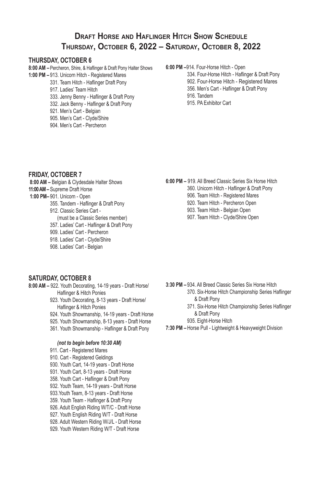# **Draft Horse and Haflinger Hitch Show Schedule Thursday, October 6, 2022 – Saturday, October 8, 2022**

#### **THURSDAY, OCTOBER 6**

- **8:00 AM –** Percheron, Shire, & Haflinger & Draft Pony Halter Shows **1:00 PM –** 913. Unicorn Hitch - Registered Mares 331. Team Hitch - Haflinger Draft Pony 917. Ladies' Team Hitch 333. Jenny Benny - Haflinger & Draft Pony 332. Jack Benny - Haflinger & Draft Pony 921. Men's Cart - Belgian 905. Men's Cart - Clyde/Shire
	- 904. Men's Cart Percheron

#### **6:00 PM –**914. Four-Horse Hitch - Open

- 334. Four-Horse Hitch Haflinger & Draft Pony
- 902. Four-Horse Hitch Registered Mares
- 356. Men's Cart Haflinger & Draft Pony
- 916. Tandem
- 915. PA Exhibitor Cart

#### **FRIDAY, OCTOBER 7**

- **8:00 AM** Belgian & Clydesdale Halter Shows **11:00 AM –** Supreme Draft Horse
- **1:00 PM–** 901. Unicorn Open
	- 355. Tandem Haflinger & Draft Pony 912. Classic Series Cart -
	- (must be a Classic Series member)
	- 357. Ladies' Cart Haflinger & Draft Pony
	- 909. Ladies' Cart Percheron
	- 918. Ladies' Cart Clyde/Shire
	- 908. Ladies' Cart Belgian

#### **6:00 PM –** 919. All Breed Classic Series Six Horse Hitch

- 360. Unicorn Hitch Haflinger & Draft Pony
- 906. Team Hitch Registered Mares
- 920. Team Hitch Percheron Open
- 903. Team Hitch Belgian Open
- 907. Team Hitch Clyde/Shire Open

#### **SATURDAY, OCTOBER 8**

- **8:00 AM –** 922. Youth Decorating, 14-19 years Draft Horse/ Haflinger & Hitch Ponies
	- 923. Youth Decorating, 8-13 years Draft Horse/ Haflinger & Hitch Ponies
	- 924. Youth Showmanship, 14-19 years Draft Horse
	- 925. Youth Showmanship, 8-13 years Draft Horse
	- 361. Youth Showmanship Haflinger & Draft Pony

#### *(not to begin before 10:30 AM)*

- 911. Cart Registered Mares 910. Cart - Registered Geldings 930. Youth Cart, 14-19 years - Draft Horse 931. Youth Cart, 8-13 years - Draft Horse 358. Youth Cart - Haflinger & Draft Pony 932. Youth Team, 14-19 years - Draft Horse 933.Youth Team, 8-13 years - Draft Horse 359. Youth Team - Haflinger & Draft Pony 926. Adult English Riding W/T/C - Draft Horse 927. Youth English Riding W/T - Draft Horse 928. Adult Western Riding W/J/L - Draft Horse
- 929. Youth Western Riding W/T Draft Horse
- **3:30 PM –** 934. All Breed Classic Series Six Horse Hitch 370. Six-Horse Hitch Championship Series Haflinger & Draft Pony
	- 371. Six-Horse Hitch Championship Series Haflinger & Draft Pony
	- 935. Eight-Horse Hitch
- **7:30 PM –** Horse Pull Lightweight & Heavyweight Division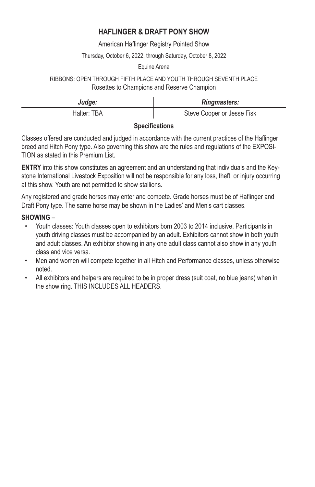# **HAFLINGER & DRAFT PONY SHOW**

American Haflinger Registry Pointed Show

### Thursday, October 6, 2022, through Saturday, October 8, 2022

### Equine Arena

## RIBBONS: OPEN THROUGH FIFTH PLACE AND YOUTH THROUGH SEVENTH PLACE Rosettes to Champions and Reserve Champion

| Judge:               | <b>Ringmasters:</b>        |  |  |  |  |  |  |
|----------------------|----------------------------|--|--|--|--|--|--|
| Halter: TBA          | Steve Cooper or Jesse Fisk |  |  |  |  |  |  |
| $\sim$ $\sim$ $\sim$ |                            |  |  |  |  |  |  |

## **Specifications**

Classes offered are conducted and judged in accordance with the current practices of the Haflinger breed and Hitch Pony type. Also governing this show are the rules and regulations of the EXPOSI-TION as stated in this Premium List.

**ENTRY** into this show constitutes an agreement and an understanding that individuals and the Keystone International Livestock Exposition will not be responsible for any loss, theft, or injury occurring at this show. Youth are not permitted to show stallions.

Any registered and grade horses may enter and compete. Grade horses must be of Haflinger and Draft Pony type. The same horse may be shown in the Ladies' and Men's cart classes.

## **SHOWING** –

- Youth classes: Youth classes open to exhibitors born 2003 to 2014 inclusive. Participants in youth driving classes must be accompanied by an adult. Exhibitors cannot show in both youth and adult classes. An exhibitor showing in any one adult class cannot also show in any youth class and vice versa.
- Men and women will compete together in all Hitch and Performance classes, unless otherwise noted.
- All exhibitors and helpers are required to be in proper dress (suit coat, no blue jeans) when in the show ring. THIS INCLUDES ALL HEADERS.